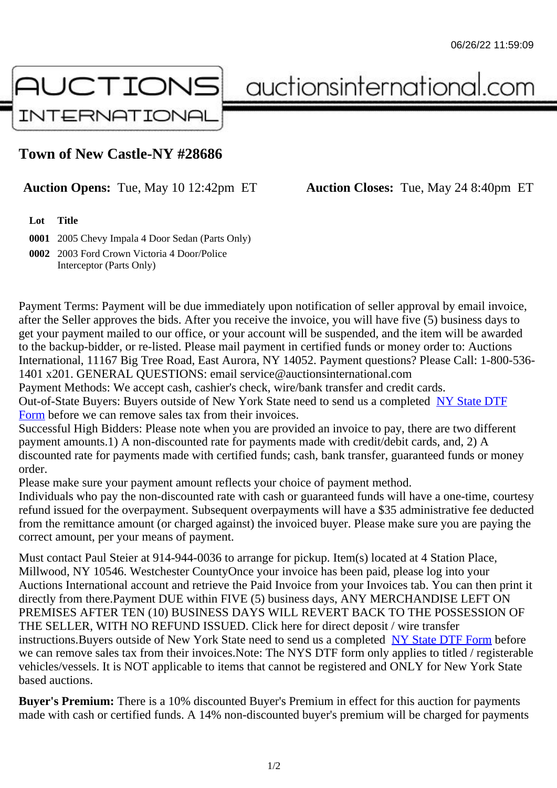## Town of New Castle-NY #28686

## Auction Opens: Tue, May 10 12:42pm ET Auction Closes: Tue, May 24 8:40pm ET

Lot Title

0001 2005 Chevy Impala 4 Door Sedan (Parts Only)

0002 2003 Ford Crown Victoria 4 Door/Police Interceptor (Parts Only)

Payment Terms: Payment will be due immediately upon notification of seller approval by email invoice, after the Seller approves the bids. After you receive the invoice, you will have five (5) business days to get your payment mailed to our office, or your account will be suspended, and the item will be awarded to the backup-bidder, or re-listed. Please mail payment in certified funds or money order to: Auctions International, 11167 Big Tree Road, East Aurora, NY 14052. Payment questions? Please Call: 1-800-53 1401 x201. GENERAL QUESTIONS: email service@auctionsinternational.com

Payment Methods: We accept cash, cashier's check, wire/bank transfer and credit cards.

Out-of-State Buyers: Buyers outside of New York State need to send us a com blestate DTF

Form before we can remove sales tax from their invoices.

Successful High Bidders: Please note when you are provided an invoice to pay, there are two different payment amounts.1) A non-discounted rate for payments made with credit/de[bit cards, and](https://www.auctionsinternational.com/auxiliary/downloads/DTF_Form/dtf_fill_in.pdf), 2) A [disco](https://www.auctionsinternational.com/auxiliary/downloads/DTF_Form/dtf_fill_in.pdf)unted rate for payments made with certified funds; cash, bank transfer, guaranteed funds or mone order.

Please make sure your payment amount reflects your choice of payment method.

Individuals who pay the non-discounted rate with cash or guaranteed funds will have a one-time, courte refund issued for the overpayment. Subsequent overpayments will have a \$35 administrative fee deduc from the remittance amount (or charged against) the invoiced buyer. Please make sure you are paying correct amount, per your means of payment.

Must contact Paul Steier at 914-944-0036 to arrange for pickup. Item(s) located at 4 Station Place, Millwood, NY 10546. Westchester CountyOnce your invoice has been paid, please log into your Auctions International account and retrieve the Paid Invoice from your Invoices tab. You can then print it directly from there.Payment DUE within FIVE (5) business days, ANY MERCHANDISE LEFT ON PREMISES AFTER TEN (10) BUSINESS DAYS WILL REVERT BACK TO THE POSSESSION OF THE SELLER, WITH NO REFUND ISSUED. Click here for direct deposit / wire transfer instructions. Buyers outside of New York State need to send us a combletedate DTF Form before we can remove sales tax from their invoices.Note: The NYS DTF form only applies to titled / registerabl vehicles/vessels. It is NOT applicable to items that cannot be registered and ONLY for New York State based auctions.

Buyer's Premium: There is a 10% discounted Buyer's Premium in effect for this auction for payments made with cash or certified funds. A 14% non-discounted buyer's premium will be charged for payments